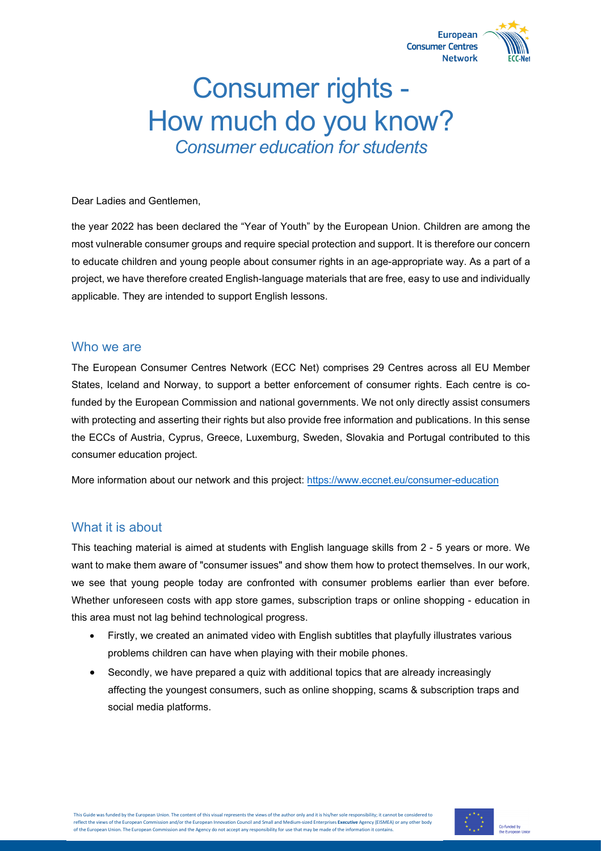

# Consumer rights - How much do you know? *Consumer education for students*

Dear Ladies and Gentlemen,

the year 2022 has been declared the "Year of Youth" by the European Union. Children are among the most vulnerable consumer groups and require special protection and support. It is therefore our concern to educate children and young people about consumer rights in an age-appropriate way. As a part of a project, we have therefore created English-language materials that are free, easy to use and individually applicable. They are intended to support English lessons.

#### Who we are

The European Consumer Centres Network (ECC Net) comprises 29 Centres across all EU Member States, Iceland and Norway, to support a better enforcement of consumer rights. Each centre is cofunded by the European Commission and national governments. We not only directly assist consumers with protecting and asserting their rights but also provide free information and publications. In this sense the ECCs of Austria, Cyprus, Greece, Luxemburg, Sweden, Slovakia and Portugal contributed to this consumer education project.

More information about our network and this project: <https://www.eccnet.eu/consumer-education>

### What it is about

This teaching material is aimed at students with English language skills from 2 - 5 years or more. We want to make them aware of "consumer issues" and show them how to protect themselves. In our work, we see that young people today are confronted with consumer problems earlier than ever before. Whether unforeseen costs with app store games, subscription traps or online shopping - education in this area must not lag behind technological progress.

- Firstly, we created an animated video with English subtitles that playfully illustrates various problems children can have when playing with their mobile phones.
- Secondly, we have prepared a quiz with additional topics that are already increasingly affecting the youngest consumers, such as online shopping, scams & subscription traps and social media platforms.